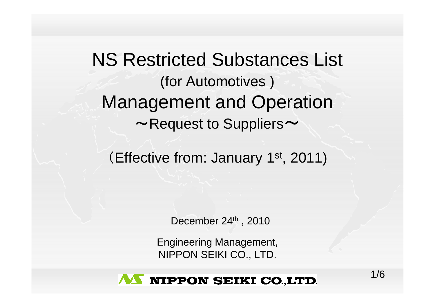NS Restricted Substances List (for Automotives ) Management and Operation  $\sim$ Request to Suppliers $\sim$ 

(Effective from: January 1st, 2011)

December  $24<sup>th</sup>$ , 2010

Engineering Management, NIPPON SEIKI CO., LTD.

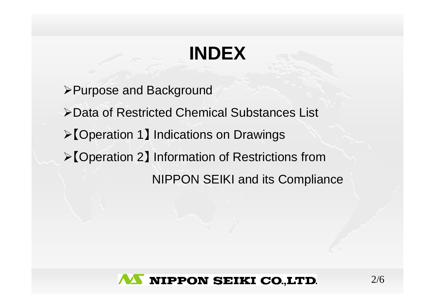# **INDEX**

- ¾Purpose and Background
- ¾Data of Restricted Chemical Substances List
- ¾【Operation 1】 Indications on Drawings
- ¾【Operation 2】 Information of Restrictions from

NIPPON SEIKI and its Compliance

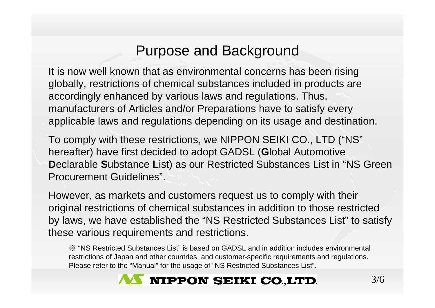## Purpose and Background

It is now well known that as environmental concerns has been rising globally, restrictions of chemical substances included in products are accordingly enhanced by various laws and regulations. Thus, manufacturers of Articles and/or Preparations have to satisfy every applicable laws and regulations depending on its usage and destination.

To comply with these restrictions, we NIPPON SEIKI CO., LTD ("NS" hereafter) have first decided to adopt GADSL ( **G**lobal Automotive **D**eclarable **S**ubstance **L**ist) as our Restricted Substances List in "NS Green Procurement Guidelines".

However, as markets and customers request us to comply with their original restrictions of chemical substances in addition to those restricted by laws, we have established the "NS Restricted Substances List" to satisfy these various requirements and restrictions.

※ "NS Restricted Substances List" is based on GADSL and in addition includes environmental restrictions of Japan and other countries, and customer-specific requirements and regulations. Please refer to the "Manual" for the usage of "NS Restricted Substances List".

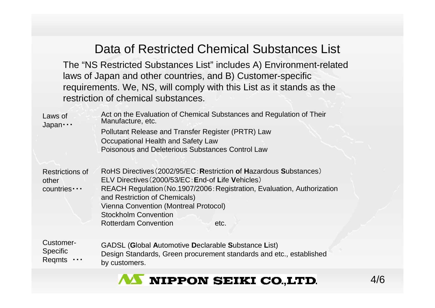#### Data of Restricted Chemical Substances List

The "NS Restricted Substances List" includes A) Environment-related laws of Japan and other countries, and B) Customer-specific requirements. We, NS, will comply with this List as it stands as the restriction of chemical substances.

Act on the Evaluation of Chemical Substances and Regulation of Their Manufacture, etc. Pollutant Release and Transfer Register (PRTR) Law Occupational Health and Safety Law Poisonous and Deleterious Substances Control LawLaws of Japan・・・

RoHS Directives(20 02/95/EC:**R**estriction **o**f **H**azardous**S**ubstances) ELVDirective<sup>s</sup>(2000/53/EC:**E**nd-of **L**ife **V**ehicles) REACH Regulation (No.1907/2006: Registration, Evaluation, Authorization and Restricti on of Chemi cals) Vienna Convention (Montreal Protocol) Stockholm ConventionRotterdam Convention etc.Restrictions of other countries・・・

Customer-**Specific** Regmts GADSL ( **G**lobal **A**utomotive **D**eclarable **S**ubstance **L**ist) Design Standards, Green procurement standards and etc., established by customers.

### **AS NIPPON SEIKI CO.,LTD.**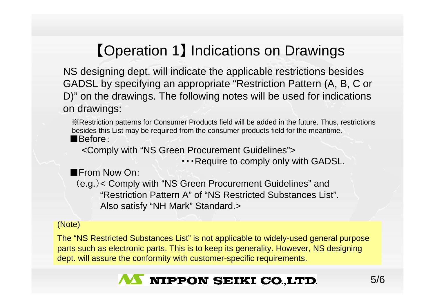# 【Operation 1 】 Indications on Drawings

NS designing dept. will indicate the applicable restrictions besides GADSL by specifying an appropriate "Restriction Pattern (A, B, C or D)" on the drawings. The following notes will be used for indications on drawings:

■Before:※Restriction patterns for Consumer Products field will be added in the future. Thus, restrictions besides this List may be required from the consumer products field for the meantime.

<Comply with "NS Green Procurement Guidelines">

・・・Require to comply only with GADSL.

■From Now On:

(e.g.)< Comply with "NS Green Procurement Guidelines" and "Restriction Pattern A" of "NS Restricted Substances List". Also satisfy "NH Mark" Standard.>

#### (Note)

The "NS Restricted Substances List" is not applicable to widely-used general purpose parts such as electronic parts. This is to keep its generality. However, NS designing dept. will assure the conformity with customer-specific requirements.